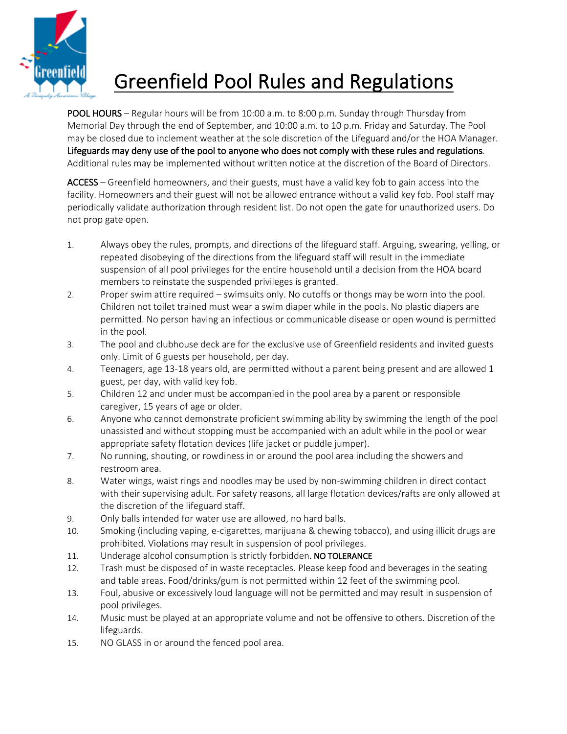

## Greenfield Pool Rules and Regulations

POOL HOURS – Regular hours will be from 10:00 a.m. to 8:00 p.m. Sunday through Thursday from Memorial Day through the end of September, and 10:00 a.m. to 10 p.m. Friday and Saturday. The Pool may be closed due to inclement weather at the sole discretion of the Lifeguard and/or the HOA Manager. Lifeguards may deny use of the pool to anyone who does not comply with these rules and regulations. Additional rules may be implemented without written notice at the discretion of the Board of Directors.

ACCESS – Greenfield homeowners, and their guests, must have a valid key fob to gain access into the facility. Homeowners and their guest will not be allowed entrance without a valid key fob. Pool staff may periodically validate authorization through resident list. Do not open the gate for unauthorized users. Do not prop gate open.

- 1. Always obey the rules, prompts, and directions of the lifeguard staff. Arguing, swearing, yelling, or repeated disobeying of the directions from the lifeguard staff will result in the immediate suspension of all pool privileges for the entire household until a decision from the HOA board members to reinstate the suspended privileges is granted.
- 2. Proper swim attire required swimsuits only. No cutoffs or thongs may be worn into the pool. Children not toilet trained must wear a swim diaper while in the pools. No plastic diapers are permitted. No person having an infectious or communicable disease or open wound is permitted in the pool.
- 3. The pool and clubhouse deck are for the exclusive use of Greenfield residents and invited guests only. Limit of 6 guests per household, per day.
- 4. Teenagers, age 13-18 years old, are permitted without a parent being present and are allowed 1 guest, per day, with valid key fob.
- 5. Children 12 and under must be accompanied in the pool area by a parent or responsible caregiver, 15 years of age or older.
- 6. Anyone who cannot demonstrate proficient swimming ability by swimming the length of the pool unassisted and without stopping must be accompanied with an adult while in the pool or wear appropriate safety flotation devices (life jacket or puddle jumper).
- 7. No running, shouting, or rowdiness in or around the pool area including the showers and restroom area.
- 8. Water wings, waist rings and noodles may be used by non-swimming children in direct contact with their supervising adult. For safety reasons, all large flotation devices/rafts are only allowed at the discretion of the lifeguard staff.
- 9. Only balls intended for water use are allowed, no hard balls.
- 10. Smoking (including vaping, e-cigarettes, marijuana & chewing tobacco), and using illicit drugs are prohibited. Violations may result in suspension of pool privileges.
- 11. Underage alcohol consumption is strictly forbidden. NO TOLERANCE
- 12. Trash must be disposed of in waste receptacles. Please keep food and beverages in the seating and table areas. Food/drinks/gum is not permitted within 12 feet of the swimming pool.
- 13. Foul, abusive or excessively loud language will not be permitted and may result in suspension of pool privileges.
- 14. Music must be played at an appropriate volume and not be offensive to others. Discretion of the lifeguards.
- 15. NO GLASS in or around the fenced pool area.